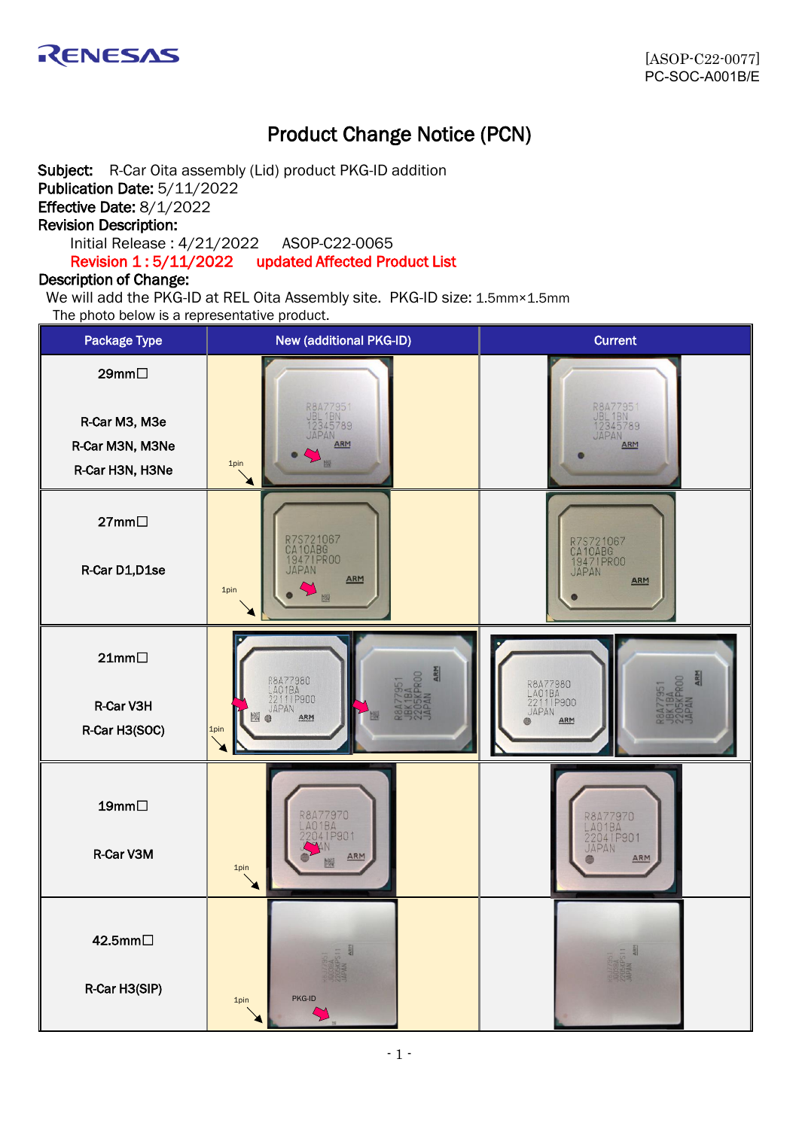

# Product Change Notice (PCN)

Subject: R-Car Oita assembly (Lid) product PKG-ID addition Publication Date: 5/11/2022 Effective Date: 8/1/2022 Revision Description: Initial Release : 4/21/2022 ASOP-C22-0065 Revision 1 : 5/11/2022 updated Affected Product List

## Description of Change:

We will add the PKG-ID at REL Oita Assembly site. PKG-ID size: 1.5mm×1.5mm The photo below is a representative product.

| <b>Package Type</b>                                          | <b>New (additional PKG-ID)</b>                                           | <b>Current</b>                                    |  |
|--------------------------------------------------------------|--------------------------------------------------------------------------|---------------------------------------------------|--|
| 29mm□<br>R-Car M3, M3e<br>R-Car M3N, M3Ne<br>R-Car H3N, H3Ne | R8A77951<br>JBL 1BN<br>12345789<br><b>APAN</b><br>ARM<br>题<br>1pin       | R8477951<br>JBL 1BN<br>12345789<br>JAPAN<br>ARM   |  |
| 27mm□<br>R-Car D1, D1se                                      | R7S721067<br>CA10ABG<br>19471PR00<br>JAPAN<br>ARM<br>1pin                | R7S721067<br>CA10ABG<br>19471PR00<br>JAPAN<br>ARM |  |
| $21mm\square$<br>R-Car V3H<br>R-Car H3(SOC)                  | ARM<br>R8A77980<br>LA01BA<br>22111P900<br>JAPAN<br>ARM<br>@<br>1pin<br>≱ | R8A77980<br>LA01BA<br>22111P900<br>JAPAN<br>ARM   |  |
| 19mm $\Box$<br>R-Car V3M                                     | R8A77970<br>LA01BA<br>22041P901<br>ARM<br>1pin                           | R8A77970<br>LA01BA<br>22041P901<br>JAPAN<br>ARM   |  |
| 42.5mm□<br>R-Car H3(SIP)                                     | PKG-ID<br>1pin                                                           |                                                   |  |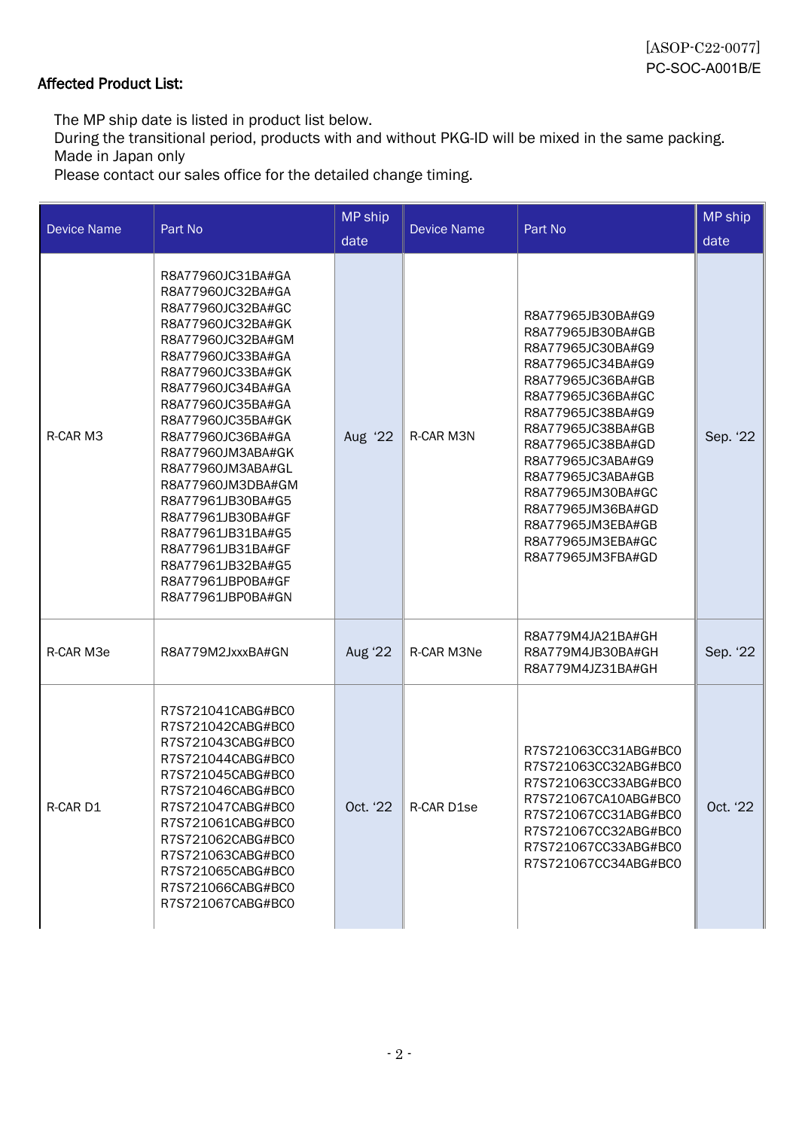# Affected Product List:

The MP ship date is listed in product list below.

During the transitional period, products with and without PKG-ID will be mixed in the same packing. Made in Japan only

Please contact our sales office for the detailed change timing.

| <b>Device Name</b> | Part No                                                                                                                                                                                                                                                                                                                                                                                                                                               | <b>MP</b> ship<br>date | <b>Device Name</b> | Part No                                                                                                                                                                                                                                                                                                                                      | MP ship<br>date |
|--------------------|-------------------------------------------------------------------------------------------------------------------------------------------------------------------------------------------------------------------------------------------------------------------------------------------------------------------------------------------------------------------------------------------------------------------------------------------------------|------------------------|--------------------|----------------------------------------------------------------------------------------------------------------------------------------------------------------------------------------------------------------------------------------------------------------------------------------------------------------------------------------------|-----------------|
| R-CAR M3           | R8A77960JC31BA#GA<br>R8A77960JC32BA#GA<br>R8A77960JC32BA#GC<br>R8A77960JC32BA#GK<br>R8A77960JC32BA#GM<br>R8A77960JC33BA#GA<br>R8A77960JC33BA#GK<br>R8A77960JC34BA#GA<br>R8A77960JC35BA#GA<br>R8A77960JC35BA#GK<br>R8A77960JC36BA#GA<br>R8A77960JM3ABA#GK<br>R8A77960JM3ABA#GL<br>R8A77960JM3DBA#GM<br>R8A77961JB30BA#G5<br>R8A77961JB30BA#GF<br>R8A77961JB31BA#G5<br>R8A77961JB31BA#GF<br>R8A77961JB32BA#G5<br>R8A77961JBP0BA#GF<br>R8A77961JBP0BA#GN | Aug '22                | R-CAR M3N          | R8A77965JB30BA#G9<br>R8A77965JB30BA#GB<br>R8A77965JC30BA#G9<br>R8A77965JC34BA#G9<br>R8A77965JC36BA#GB<br>R8A77965JC36BA#GC<br>R8A77965JC38BA#G9<br>R8A77965JC38BA#GB<br>R8A77965JC38BA#GD<br>R8A77965JC3ABA#G9<br>R8A77965JC3ABA#GB<br>R8A77965JM30BA#GC<br>R8A77965JM36BA#GD<br>R8A77965JM3EBA#GB<br>R8A77965JM3EBA#GC<br>R8A77965JM3FBA#GD | Sep. '22        |
| R-CAR M3e          | R8A779M2JxxxBA#GN                                                                                                                                                                                                                                                                                                                                                                                                                                     | Aug '22                | R-CAR M3Ne         | R8A779M4JA21BA#GH<br>R8A779M4JB30BA#GH<br>R8A779M4JZ31BA#GH                                                                                                                                                                                                                                                                                  | Sep. '22        |
| R-CAR D1           | R7S721041CABG#BC0<br>R7S721042CABG#BC0<br>R7S721043CABG#BC0<br>R7S721044CABG#BC0<br>R7S721045CABG#BC0<br>R7S721046CABG#BC0<br>R7S721047CABG#BC0<br>R7S721061CABG#BC0<br>R7S721062CABG#BC0<br>R7S721063CABG#BC0<br>R7S721065CABG#BC0<br>R7S721066CABG#BC0<br>R7S721067CABG#BC0                                                                                                                                                                         | Oct. '22               | R-CAR D1se         | R7S721063CC31ABG#BC0<br>R7S721063CC32ABG#BC0<br>R7S721063CC33ABG#BC0<br>R7S721067CA10ABG#BC0<br>R7S721067CC31ABG#BC0<br>R7S721067CC32ABG#BC0<br>R7S721067CC33ABG#BC0<br>R7S721067CC34ABG#BC0                                                                                                                                                 | Oct. '22        |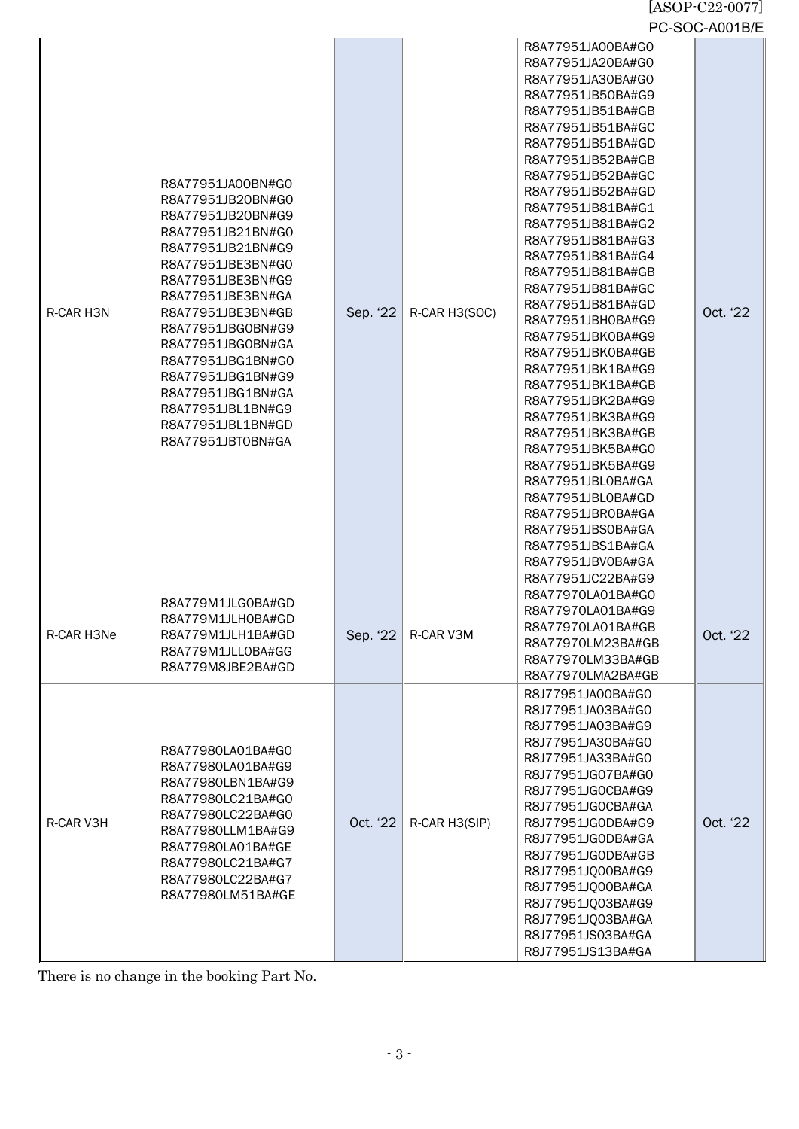#### [ASOP-C22-0077] PC-SOC-A001B/E

|            |                                                                                                                                                                                                                                                                                                                                                                   |          |               |                                                                                                                                                                                                                                                                                                                                                                                                                                                                                                                                                                                                                                                                                                                                        | – יש ו טטר <i>י</i> ס |
|------------|-------------------------------------------------------------------------------------------------------------------------------------------------------------------------------------------------------------------------------------------------------------------------------------------------------------------------------------------------------------------|----------|---------------|----------------------------------------------------------------------------------------------------------------------------------------------------------------------------------------------------------------------------------------------------------------------------------------------------------------------------------------------------------------------------------------------------------------------------------------------------------------------------------------------------------------------------------------------------------------------------------------------------------------------------------------------------------------------------------------------------------------------------------------|-----------------------|
| R-CAR H3N  | R8A77951JA00BN#G0<br>R8A77951JB20BN#G0<br>R8A77951JB20BN#G9<br>R8A77951JB21BN#G0<br>R8A77951JB21BN#G9<br>R8A77951JBE3BN#G0<br>R8A77951JBE3BN#G9<br>R8A77951JBE3BN#GA<br>R8A77951JBE3BN#GB<br>R8A77951JBG0BN#G9<br>R8A77951JBG0BN#GA<br>R8A77951JBG1BN#G0<br>R8A77951JBG1BN#G9<br>R8A77951JBG1BN#GA<br>R8A77951JBL1BN#G9<br>R8A77951JBL1BN#GD<br>R8A77951JBT0BN#GA | Sep. '22 | R-CAR H3(SOC) | R8A77951JA00BA#G0<br>R8A77951JA20BA#G0<br>R8A77951JA30BA#G0<br>R8A77951JB50BA#G9<br>R8A77951JB51BA#GB<br>R8A77951JB51BA#GC<br>R8A77951JB51BA#GD<br>R8A77951JB52BA#GB<br>R8A77951JB52BA#GC<br>R8A77951JB52BA#GD<br>R8A77951JB81BA#G1<br>R8A77951JB81BA#G2<br>R8A77951JB81BA#G3<br>R8A77951JB81BA#G4<br>R8A77951JB81BA#GB<br>R8A77951JB81BA#GC<br>R8A77951JB81BA#GD<br>R8A77951JBH0BA#G9<br>R8A77951JBK0BA#G9<br>R8A77951JBK0BA#GB<br>R8A77951JBK1BA#G9<br>R8A77951JBK1BA#GB<br>R8A77951JBK2BA#G9<br>R8A77951JBK3BA#G9<br>R8A77951JBK3BA#GB<br>R8A77951JBK5BA#G0<br>R8A77951JBK5BA#G9<br>R8A77951JBL0BA#GA<br>R8A77951JBL0BA#GD<br>R8A77951JBR0BA#GA<br>R8A77951JBS0BA#GA<br>R8A77951JBS1BA#GA<br>R8A77951JBV0BA#GA<br>R8A77951JC22BA#G9 | Oct. '22              |
| R-CAR H3Ne | R8A779M1JLG0BA#GD<br>R8A779M1JLH0BA#GD<br>R8A779M1JLH1BA#GD<br>R8A779M1JLL0BA#GG<br>R8A779M8JBE2BA#GD                                                                                                                                                                                                                                                             | Sep. '22 | R-CAR V3M     | R8A77970LA01BA#G0<br>R8A77970LA01BA#G9<br>R8A77970LA01BA#GB<br>R8A77970LM23BA#GB<br>R8A77970LM33BA#GB<br>R8A77970LMA2BA#GB                                                                                                                                                                                                                                                                                                                                                                                                                                                                                                                                                                                                             | Oct. '22'             |
| R-CAR V3H  | R8A77980LA01BA#G0<br>R8A77980LA01BA#G9<br>R8A77980LBN1BA#G9<br>R8A77980LC21BA#G0<br>R8A77980LC22BA#G0<br>R8A77980LLM1BA#G9<br>R8A77980LA01BA#GE<br>R8A77980LC21BA#G7<br>R8A77980LC22BA#G7<br>R8A77980LM51BA#GE                                                                                                                                                    | Oct. '22 | R-CAR H3(SIP) | R8J77951JA00BA#G0<br>R8J77951JA03BA#G0<br>R8J77951JA03BA#G9<br>R8J77951JA30BA#G0<br>R8J77951JA33BA#G0<br>R8J77951JG07BA#G0<br>R8J77951JG0CBA#G9<br>R8J77951JG0CBA#GA<br>R8J77951JG0DBA#G9<br>R8J77951JG0DBA#GA<br>R8J77951JG0DBA#GB<br>R8J77951JQ00BA#G9<br>R8J77951JQ00BA#GA<br>R8J77951JQ03BA#G9<br>R8J77951JQ03BA#GA<br>R8J77951JS03BA#GA<br>R8J77951JS13BA#GA                                                                                                                                                                                                                                                                                                                                                                      | Oct. '22              |

There is no change in the booking Part No.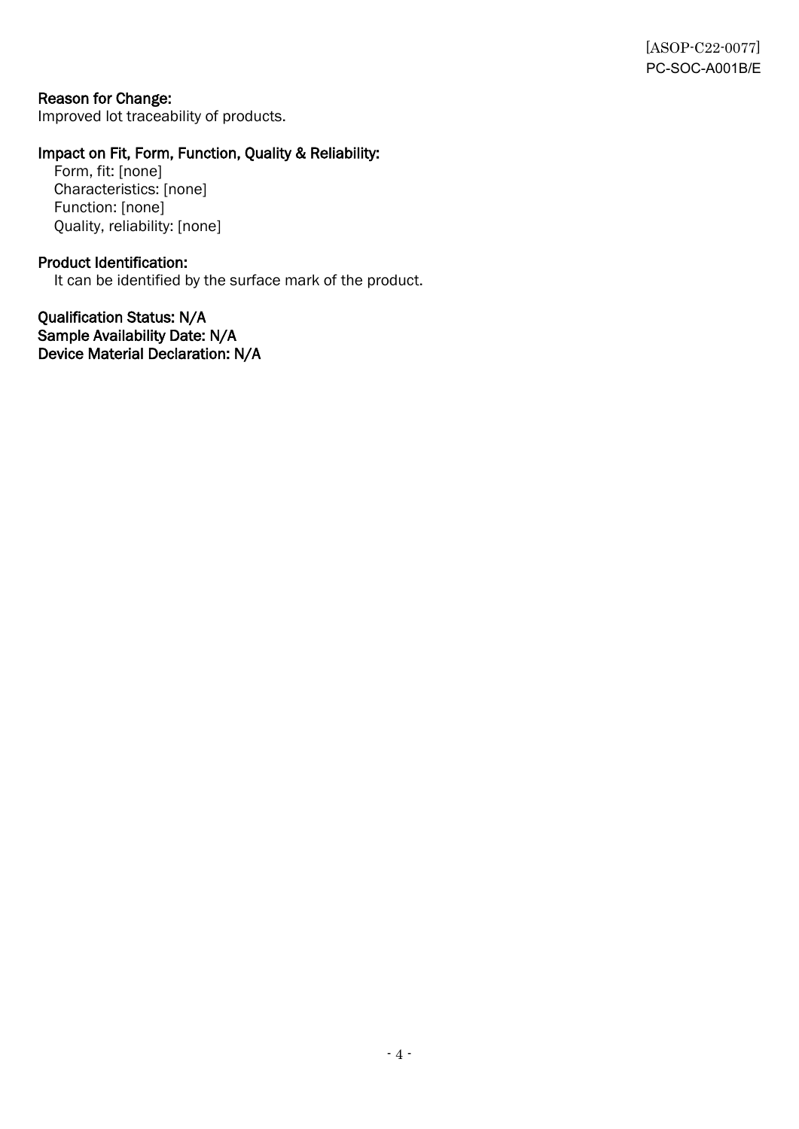## Reason for Change:

Improved lot traceability of products.

## Impact on Fit, Form, Function, Quality & Reliability:

Form, fit: [none] Characteristics: [none] Function: [none] Quality, reliability: [none]

## Product Identification:

It can be identified by the surface mark of the product.

Qualification Status: N/A Sample Availability Date: N/A Device Material Declaration: N/A